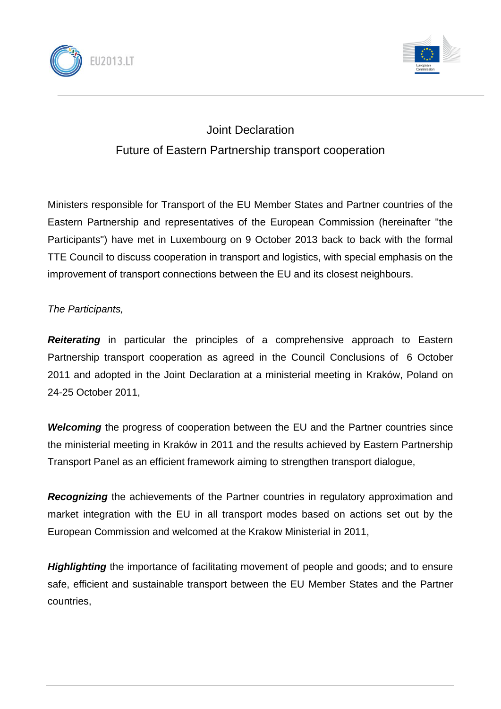



## Joint Declaration Future of Eastern Partnership transport cooperation

Ministers responsible for Transport of the EU Member States and Partner countries of the Eastern Partnership and representatives of the European Commission (hereinafter "the Participants") have met in Luxembourg on 9 October 2013 back to back with the formal TTE Council to discuss cooperation in transport and logistics, with special emphasis on the improvement of transport connections between the EU and its closest neighbours.

## *The Participants,*

**Reiterating** in particular the principles of a comprehensive approach to Eastern Partnership transport cooperation as agreed in the Council Conclusions of 6 October 2011 and adopted in the Joint Declaration at a ministerial meeting in Kraków, Poland on 24-25 October 2011,

*Welcoming* the progress of cooperation between the EU and the Partner countries since the ministerial meeting in Kraków in 2011 and the results achieved by Eastern Partnership Transport Panel as an efficient framework aiming to strengthen transport dialogue,

*Recognizing* the achievements of the Partner countries in regulatory approximation and market integration with the EU in all transport modes based on actions set out by the European Commission and welcomed at the Krakow Ministerial in 2011,

*Highlighting* the importance of facilitating movement of people and goods; and to ensure safe, efficient and sustainable transport between the EU Member States and the Partner countries,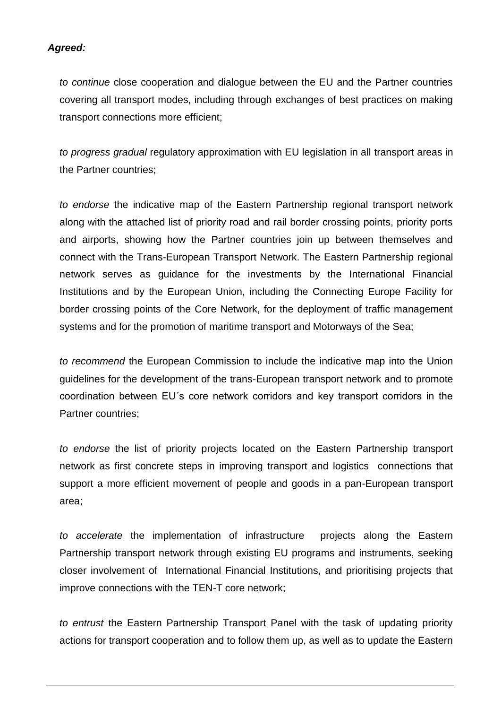## *Agreed:*

*to continue* close cooperation and dialogue between the EU and the Partner countries covering all transport modes, including through exchanges of best practices on making transport connections more efficient;

*to progress gradual* regulatory approximation with EU legislation in all transport areas in the Partner countries;

*to endorse* the indicative map of the Eastern Partnership regional transport network along with the attached list of priority road and rail border crossing points, priority ports and airports, showing how the Partner countries join up between themselves and connect with the Trans-European Transport Network. The Eastern Partnership regional network serves as guidance for the investments by the International Financial Institutions and by the European Union, including the Connecting Europe Facility for border crossing points of the Core Network, for the deployment of traffic management systems and for the promotion of maritime transport and Motorways of the Sea;

*to recommend* the European Commission to include the indicative map into the Union guidelines for the development of the trans-European transport network and to promote coordination between EU´s core network corridors and key transport corridors in the Partner countries;

*to endorse* the list of priority projects located on the Eastern Partnership transport network as first concrete steps in improving transport and logistics connections that support a more efficient movement of people and goods in a pan-European transport area;

*to accelerate* the implementation of infrastructure projects along the Eastern Partnership transport network through existing EU programs and instruments, seeking closer involvement of International Financial Institutions, and prioritising projects that improve connections with the TEN-T core network;

*to entrust* the Eastern Partnership Transport Panel with the task of updating priority actions for transport cooperation and to follow them up, as well as to update the Eastern